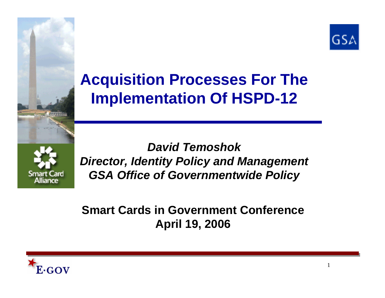

# **Acquisition Processes For The Implementation Of HSPD-12**



*David Temoshok Director, Identity Policy and Management GSA Office of Governmentwide Policy*

#### **Smart Cards in Government ConferenceApril 19, 2006**

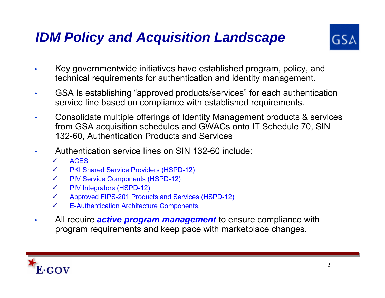# *IDM Policy and Acquisition Landscape*



- • Key governmentwide initiatives have established program, policy, and technical requirements for authentication and identity management.
- • GSA Is establishing "approved products/services" for each authentication service line based on compliance with established requirements.
- • Consolidate multiple offerings of Identity Management products & services from GSA acquisition schedules and GWACs onto IT Schedule 70, SIN 132-60, Authentication Products and Services
- • Authentication service lines on SIN 132-60 include:
	- $\checkmark$ ACES
	- $\checkmark$ PKI Shared Service Providers (HSPD-12)
	- $\checkmark$ PIV Service Components (HSPD-12)
	- $\checkmark$ PIV Integrators (HSPD-12)
	- $\checkmark$ Approved FIPS-201 Products and Services (HSPD-12)
	- $\checkmark$ E-Authentication Architecture Components.
- • All require *active program management* to ensure compliance with program requirements and keep pace with marketplace changes.

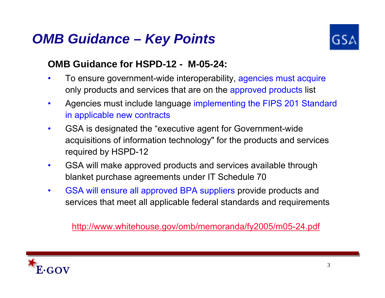#### *OMB Guidance – Key Points*



#### **OMB Guidance for HSPD-12 - M-05-24:**

- • To ensure government-wide interoperability, agencies must acquire only products and services that are on the approved products list
- $\bullet$  Agencies must include language implementing the FIPS 201 Standard in applicable new contracts
- • GSA is designated the "executive agent for Government-wide acquisitions of information technology" for the products and services required by HSPD-12
- $\bullet$  GSA will make approved products and services available through blanket purchase agreements under IT Schedule 70
- • GSA will ensure all approved BPA suppliers provide products and services that meet all applicable federal standards and requirements

http://www.whitehouse.gov/omb/memoranda/fy2005/m05-24.pdf

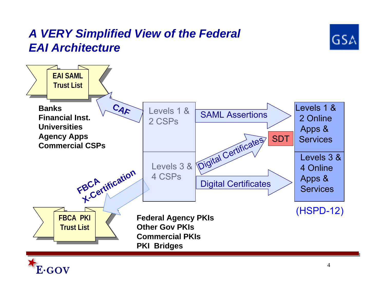#### *A VERY Simplified View of the Federal EAI Architecture*





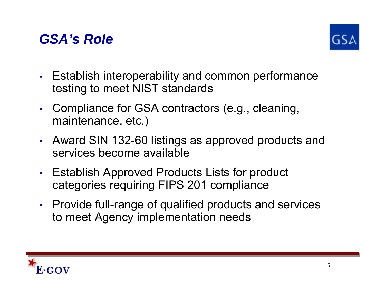



- • Establish interoperability and common performance testing to meet NIST standards
- • Compliance for GSA contractors (e.g., cleaning, maintenance, etc.)
- • Award SIN 132-60 listings as approved products and services become available
- • Establish Approved Products Lists for product categories requiring FIPS 201 compliance
- • Provide full-range of qualified products and services to meet Agency implementation needs

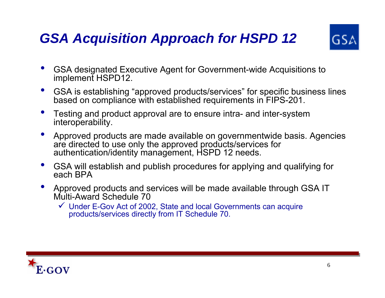# *GSA Acquisition Approach for HSPD 12*



- • GSA designated Executive Agent for Government-wide Acquisitions to implement HSPD12.
- • GSA is establishing "approved products/services" for specific business lines based on compliance with established requirements in FIPS-201.
- • Testing and product approval are to ensure intra- and inter-system interoperability.
- • Approved products are made available on governmentwide basis. Agencies are directed to use only the approved products/services for authentication/identity management, HSPD 12 needs.
- • GSA will establish and publish procedures for applying and qualifying for each BPA
- • Approved products and services will be made available through GSA IT Multi-Award Schedule 70
	- $\checkmark$  Under E-Gov Act of 2002, State and local Governments can acquire products/services directly from IT Schedule 70.

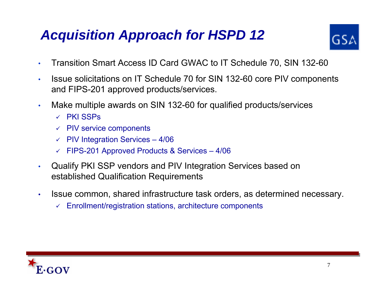# *Acquisition Approach for HSPD 12*



- •Transition Smart Access ID Card GWAC to IT Schedule 70, SIN 132-60
- • Issue solicitations on IT Schedule 70 for SIN 132-60 core PIV components and FIPS-201 approved products/services.
- • Make multiple awards on SIN 132-60 for qualified products/services
	- $\checkmark$  PKI SSPs
	- $\checkmark$  PIV service components
	- $\checkmark$  PIV Integration Services 4/06
	- 9 FIPS-201 Approved Products & Services 4/06
- • Qualify PKI SSP vendors and PIV Integration Services based on established Qualification Requirements
- • Issue common, shared infrastructure task orders, as determined necessary.
	- $\checkmark$ Enrollment/registration stations, architecture components

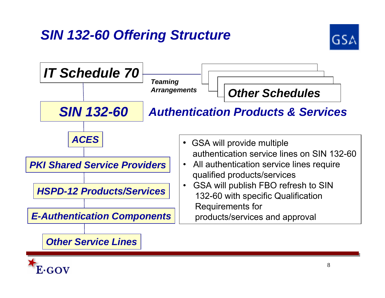# *SIN 132-60 Offering Structure*





#### *Other Service Lines*

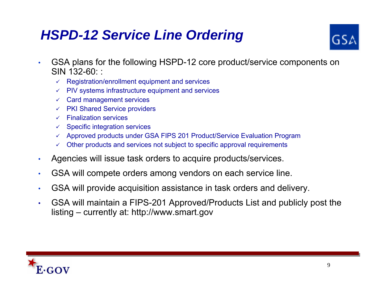# *HSPD-12 Service Line Ordering*



- • GSA plans for the following HSPD-12 core product/service components on SIN 132-60: :
	- $\checkmark$  Registration/enrollment equipment and services
	- $\checkmark$  PIV systems infrastructure equipment and services
	- $\checkmark$  Card management services
	- $\checkmark$  PKI Shared Service providers
	- $\checkmark$  Finalization services
	- $\checkmark$  Specific integration services
	- $\checkmark$  Approved products under GSA FIPS 201 Product/Service Evaluation Program
	- $\checkmark$ Other products and services not subject to specific approval requirements
- •Agencies will issue task orders to acquire products/services.
- •GSA will compete orders among vendors on each service line.
- •GSA will provide acquisition assistance in task orders and delivery.
- • GSA will maint ain a FIPS-201 Approved/Products List and publicly post the listing – currently at: http://www.smart.gov

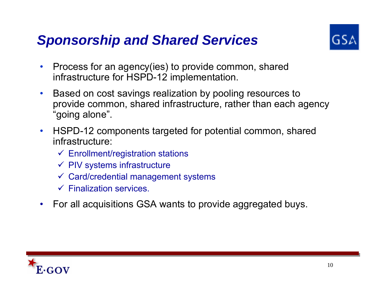### *Sponsorship and Shared Services*



- $\bullet$  Process for an agency(ies) to provide common, shared infrastructure for HSPD-12 implementation.
- $\bullet$  Based on cost savings realization by pooling resources to provide common, shared infrastructure, rather than each agency "going alone".
- $\bullet$  HSPD-12 components targeted for potential common, shared infrastructure:
	- $\checkmark$  Enrollment/registration stations
	- $\checkmark$  PIV systems infrastructure
	- $\checkmark$  Card/credential management systems
	- $\checkmark$  Finalization services.
- $\bullet$ For all acquisitions GSA wants to provide aggregated buys.

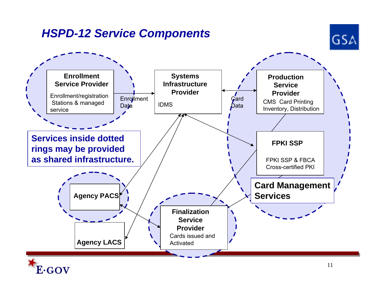#### *HSPD-12 Service Components*

E∙GOV



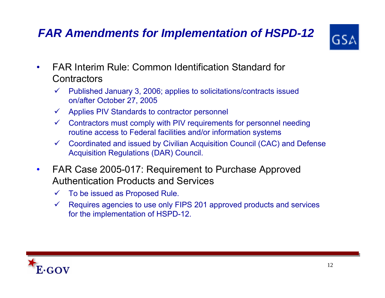#### *FAR Amendments for Implementation of HSPD-12*



- • FAR Interim Rule: Common Identification Standard for **Contractors** 
	- $\checkmark$  Published January 3, 2006; applies to solicitations/contracts issued on/after October 27, 2005
	- $\checkmark$ Applies PIV Standards to contractor personnel
	- $\checkmark$  Contractors must comply with PIV requirements for personnel needing routine access to Federal facilities and/or information systems
	- $\sqrt{2}$  Coordinated and issued by Civilian Acquisition Council (CAC) and Defense Acquisition Regulations (DAR) Council.
- $\bullet$  FAR Case 2005-017: Requirement to Purchase Approved Authentication Products and Services
	- $\checkmark$ To be issued as Proposed Rule.
	- $\checkmark$  Requires agencies to use only FIPS 201 approved products and services for the implementation of HSPD-12.